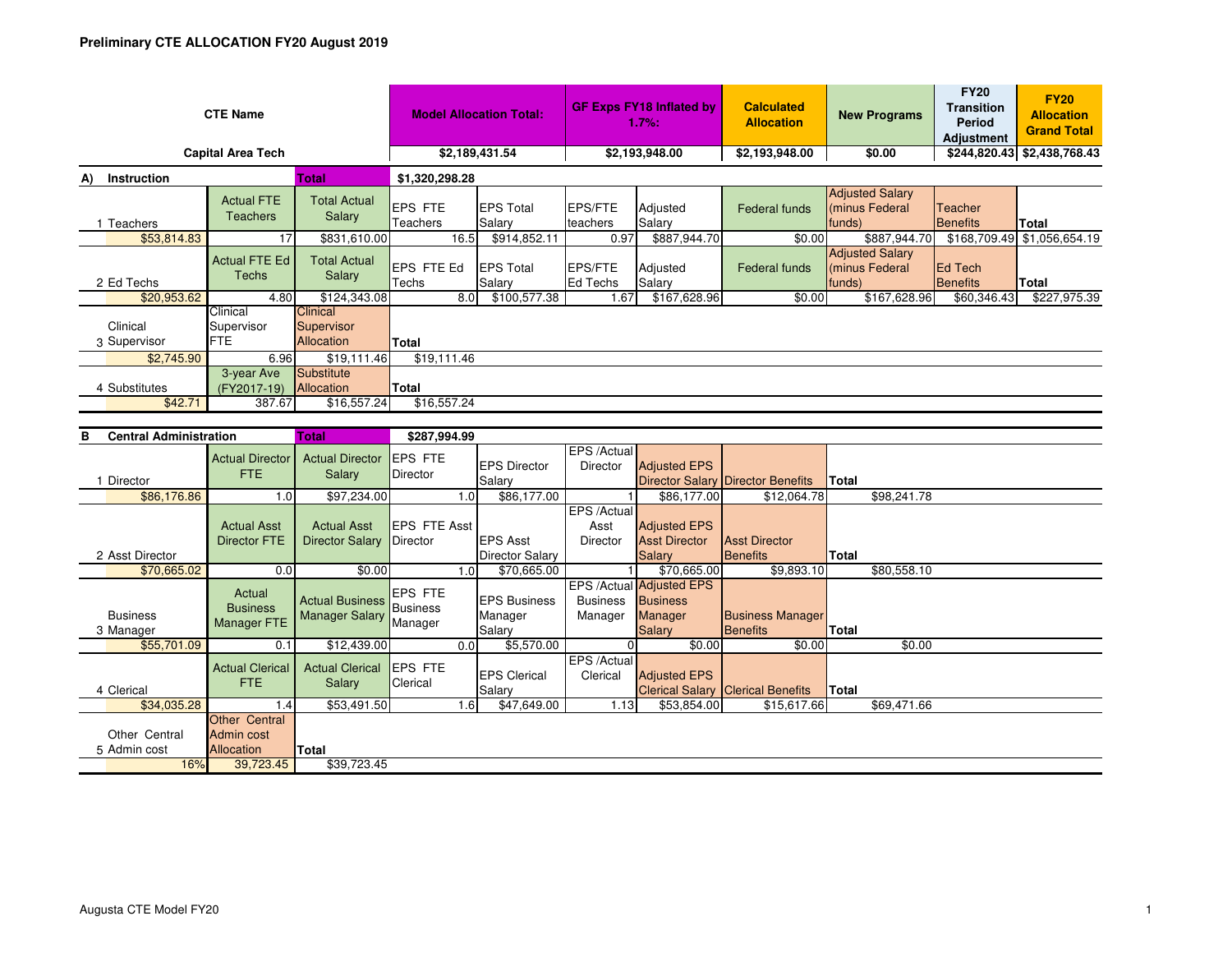| <b>CTE Name</b>                   | <b>Model Allocation Total:</b>       |                                                    | <b>GF Exps FY18 Inflated by</b><br>1.7%: |                            | <b>Calculated</b><br><b>Allocation</b> | <b>New Programs</b> | <b>FY20</b><br><b>Transition</b><br>Period<br><b>Adjustment</b> | <b>FY20</b><br><b>Allocation</b><br><b>Grand Total</b> |                                    |                             |  |  |
|-----------------------------------|--------------------------------------|----------------------------------------------------|------------------------------------------|----------------------------|----------------------------------------|---------------------|-----------------------------------------------------------------|--------------------------------------------------------|------------------------------------|-----------------------------|--|--|
| <b>Capital Area Tech</b>          | \$2,189,431.54                       |                                                    | \$2,193,948.00                           |                            | \$2,193,948.00                         | \$0.00              |                                                                 | \$244,820.43 \$2,438,768.43                            |                                    |                             |  |  |
| Instruction<br><b>Total</b><br>A) |                                      |                                                    | \$1,320,298.28                           |                            |                                        |                     |                                                                 |                                                        |                                    |                             |  |  |
| Teachers                          | <b>Actual FTE</b><br><b>Teachers</b> | <b>Total Actual</b><br>Salary                      | EPS FTE<br>Teachers                      | <b>EPS Total</b><br>Salary | <b>IEPS/FTE</b><br>teachers            | Adjusted<br>Salary  | <b>Federal funds</b>                                            | <b>Adjusted Salary</b><br>(minus Federal<br>funds)     | Teacher<br><b>Benefits</b>         | <b>Total</b>                |  |  |
| \$53,814.83                       | 17                                   | \$831,610.00                                       | 16.5                                     | \$914,852.11               | 0.97                                   | \$887,944.70        | \$0.00                                                          | \$887,944.70                                           |                                    | \$168,709.49 \$1,056,654.19 |  |  |
| 2 Ed Techs                        | Actual FTE Ed<br>Techs               | <b>Total Actual</b><br>Salary                      | <b>EPS FTE Ed</b><br>Techs               | <b>EPS Total</b><br>Salary | <b>EPS/FTE</b><br><b>Ed Techs</b>      | Adjusted<br>Salary  | Federal funds                                                   | <b>Adjusted Salary</b><br>(minus Federal<br>funds)     | <b>IEd Tech</b><br><b>Benefits</b> | Total                       |  |  |
| \$20,953.62                       | 4.80                                 | \$124,343.08                                       | 8.0                                      | \$100,577.38               | 1.67                                   | \$167,628.96        | \$0.00                                                          | \$167,628.96                                           | \$60,346.43                        | \$227,975.39                |  |  |
| Clinical<br>3 Supervisor          | Clinical<br>Supervisor<br><b>FTE</b> | <b>Clinical</b><br>Supervisor<br><b>Allocation</b> | Total                                    |                            |                                        |                     |                                                                 |                                                        |                                    |                             |  |  |
| \$2,745.90                        | 6.96                                 | \$19.111.46                                        | \$19,111.46                              |                            |                                        |                     |                                                                 |                                                        |                                    |                             |  |  |
| 4 Substitutes<br>\$42.71          | 3-year Ave<br>(FY2017-19)<br>387.67  | Substitute<br>Allocation<br>\$16,557.24            | Total<br>\$16,557.24                     |                            |                                        |                     |                                                                 |                                                        |                                    |                             |  |  |

| в<br><b>Central Administration</b> |                               | <b>Total</b>                                            | \$287,994.99                                 |                                       |                  |                                           |                                        |                                                                         |                                            |              |             |
|------------------------------------|-------------------------------|---------------------------------------------------------|----------------------------------------------|---------------------------------------|------------------|-------------------------------------------|----------------------------------------|-------------------------------------------------------------------------|--------------------------------------------|--------------|-------------|
|                                    | Director                      | <b>Actual Director</b><br>FTE.                          | <b>Actual Director</b><br><b>Salary</b>      | <b>EPS FTE</b><br>Director            |                  | <b>EPS Director</b><br>Salary             | EPS /Actual<br>Director                | <b>Adjusted EPS</b>                                                     | Director Salary Director Benefits          | <b>Total</b> |             |
|                                    | \$86,176.86                   | 1.0                                                     | \$97,234.00                                  |                                       | 1.0              | \$86,177.00                               |                                        | \$86,177.00                                                             | \$12,064.78                                |              | \$98,241.78 |
|                                    |                               | <b>Actual Asst</b><br><b>Director FTE</b>               | <b>Actual Asst</b><br><b>Director Salary</b> | EPS FTE Asst<br>Director              |                  | <b>EPS Asst</b>                           | EPS /Actual<br>Asst<br><b>Director</b> | <b>Adjusted EPS</b><br><b>Asst Director</b>                             | <b>Asst Director</b>                       |              |             |
|                                    | 2 Asst Director               |                                                         |                                              |                                       |                  | <b>Director Salary</b>                    |                                        | <b>Salary</b>                                                           | Benefits                                   | Total        |             |
|                                    | \$70,665.02                   | 0.0                                                     | \$0.00                                       |                                       | 1.0 <sub>l</sub> | \$70,665.00                               |                                        | \$70,665.00                                                             | \$9,893.10                                 |              | \$80,558.10 |
|                                    | <b>Business</b><br>3 Manager  | Actual<br><b>Business</b><br><b>Manager FTE</b>         | <b>Actual Business</b><br>Manager Salary     | <b>EPS FTE</b><br>Business<br>Manager |                  | <b>IEPS Business</b><br>Manager<br>Salary | <b>Business</b><br>Manager             | EPS /Actual Adjusted EPS<br><b>Business</b><br>Manager<br><b>Salary</b> | <b>Business Manager</b><br><b>Benefits</b> | <b>Total</b> |             |
|                                    | \$55,701.09                   | 0.1                                                     | \$12,439.00                                  |                                       | 0.01             | \$5,570.00                                |                                        | \$0.00                                                                  | \$0.00                                     |              | \$0.00      |
|                                    | 4 Clerical                    | <b>Actual Clerical</b><br>FTE.                          | <b>Actual Clerical</b><br>Salary             | <b>EPS FTE</b><br>Clerical            |                  | <b>EPS Clerical</b><br>Salary             | EPS /Actual<br>Clerical                | <b>Adjusted EPS</b>                                                     | <b>Clerical Salary Clerical Benefits</b>   | <b>Total</b> |             |
|                                    | \$34,035.28                   | . .4                                                    | \$53,491.50                                  |                                       | 1.61             | \$47,649.00                               | 1.13                                   | \$53,854.00                                                             | \$15,617.66                                |              | \$69,471.66 |
|                                    | Other Central<br>5 Admin cost | <b>Other Central</b><br>Admin cost<br><b>Allocation</b> | Total                                        |                                       |                  |                                           |                                        |                                                                         |                                            |              |             |
|                                    | 16%                           | 39,723.45                                               | \$39,723.45                                  |                                       |                  |                                           |                                        |                                                                         |                                            |              |             |